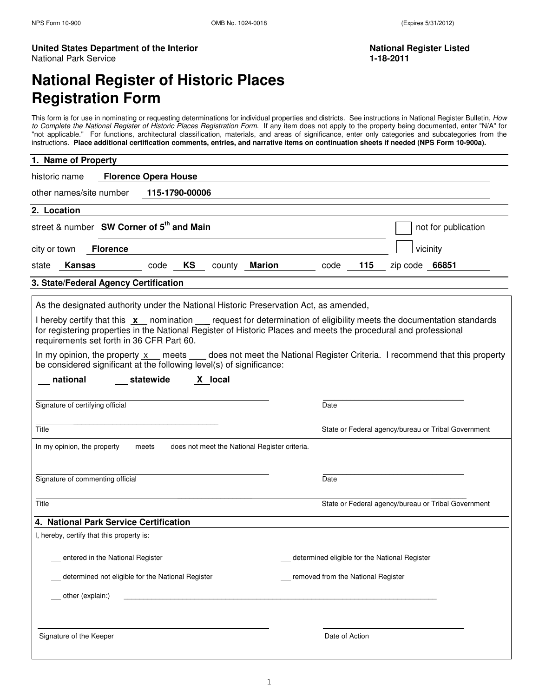#### United States Department of the Interior National Register Listed **National Register Listed** National Park Service **1-18-2011**

# **National Register of Historic Places Registration Form**

This form is for use in nominating or requesting determinations for individual properties and districts. See instructions in National Register Bulletin, How to Complete the National Register of Historic Places Registration Form. If any item does not apply to the property being documented, enter "N/A" for "not applicable." For functions, architectural classification, materials, and areas of significance, enter only categories and subcategories from the instructions. **Place additional certification comments, entries, and narrative items on continuation sheets if needed (NPS Form 10-900a).**

| 1. Name of Property                                                                                                                                                                                                                                                                 |                                               |                                                     |
|-------------------------------------------------------------------------------------------------------------------------------------------------------------------------------------------------------------------------------------------------------------------------------------|-----------------------------------------------|-----------------------------------------------------|
| <b>Florence Opera House</b><br>historic name                                                                                                                                                                                                                                        |                                               |                                                     |
| other names/site number<br>115-1790-00006                                                                                                                                                                                                                                           |                                               |                                                     |
| 2. Location                                                                                                                                                                                                                                                                         |                                               |                                                     |
| street & number SW Corner of 5 <sup>th</sup> and Main                                                                                                                                                                                                                               |                                               | not for publication                                 |
| city or town<br><b>Florence</b>                                                                                                                                                                                                                                                     |                                               | vicinity                                            |
| KS<br>Kansas<br>code<br>Marion<br>state<br>county                                                                                                                                                                                                                                   | 115<br>code                                   | zip code $66851$                                    |
| 3. State/Federal Agency Certification                                                                                                                                                                                                                                               |                                               |                                                     |
| As the designated authority under the National Historic Preservation Act, as amended,                                                                                                                                                                                               |                                               |                                                     |
| I hereby certify that this x nomination sequest for determination of eligibility meets the documentation standards<br>for registering properties in the National Register of Historic Places and meets the procedural and professional<br>requirements set forth in 36 CFR Part 60. |                                               |                                                     |
| In my opinion, the property x meets does not meet the National Register Criteria. I recommend that this property<br>be considered significant at the following level(s) of significance:                                                                                            |                                               |                                                     |
| X local<br>national<br>__ statewide                                                                                                                                                                                                                                                 |                                               |                                                     |
| Signature of certifying official                                                                                                                                                                                                                                                    | Date                                          |                                                     |
| Title                                                                                                                                                                                                                                                                               |                                               | State or Federal agency/bureau or Tribal Government |
| In my opinion, the property __ meets __ does not meet the National Register criteria.                                                                                                                                                                                               |                                               |                                                     |
|                                                                                                                                                                                                                                                                                     |                                               |                                                     |
| Signature of commenting official                                                                                                                                                                                                                                                    | Date                                          |                                                     |
| Title                                                                                                                                                                                                                                                                               |                                               | State or Federal agency/bureau or Tribal Government |
| 4. National Park Service Certification                                                                                                                                                                                                                                              |                                               |                                                     |
| I, hereby, certify that this property is:                                                                                                                                                                                                                                           |                                               |                                                     |
| entered in the National Register                                                                                                                                                                                                                                                    | determined eligible for the National Register |                                                     |
| determined not eligible for the National Register                                                                                                                                                                                                                                   | removed from the National Register            |                                                     |
| other (explain:)                                                                                                                                                                                                                                                                    |                                               |                                                     |
|                                                                                                                                                                                                                                                                                     |                                               |                                                     |
| Signature of the Keeper                                                                                                                                                                                                                                                             | Date of Action                                |                                                     |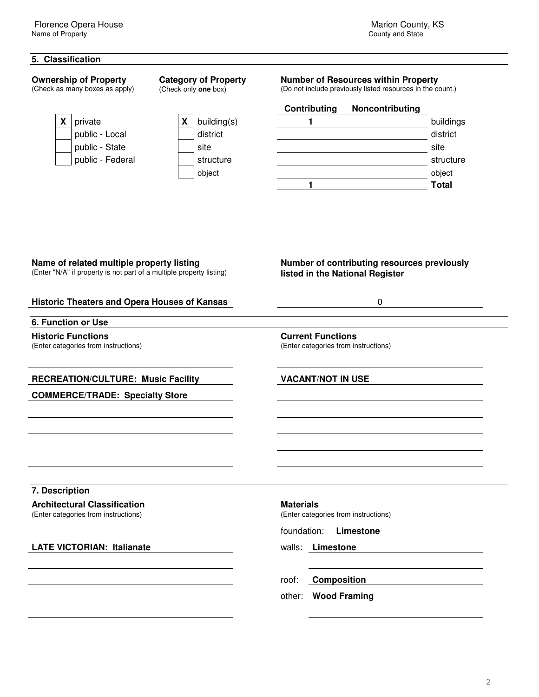Name of Property

#### **5. Classification**

**Ownership of Property** 

(Check as many boxes as apply)

| X | building(s |
|---|------------|
|   | district   |
|   | site       |
|   | structure  |
|   | obiect     |

**Category of Property**  (Check only **one** box)

## **Number of Resources within Property**

(Do not include previously listed resources in the count.)

# **Contributing Noncontributing X** | private **X X** | **X** | building(s) **1 1 buildings** public - Local district district district district district district district district district district district public - State site site public - Federal structure structure structure structure object object **1 Total**

#### **Name of related multiple property listing**

(Enter "N/A" if property is not part of a multiple property listing)

#### **Number of contributing resources previously listed in the National Register**

| <b>Historic Theaters and Opera Houses of Kansas</b>                         | 0                                                                                    |
|-----------------------------------------------------------------------------|--------------------------------------------------------------------------------------|
| 6. Function or Use                                                          |                                                                                      |
| <b>Historic Functions</b><br>(Enter categories from instructions)           | <b>Current Functions</b><br>(Enter categories from instructions)                     |
| <b>RECREATION/CULTURE: Music Facility</b>                                   | <b>VACANT/NOT IN USE</b>                                                             |
| <b>COMMERCE/TRADE: Specialty Store</b>                                      |                                                                                      |
| 7. Description                                                              |                                                                                      |
| <b>Architectural Classification</b><br>(Enter categories from instructions) | <b>Materials</b><br>(Enter categories from instructions)<br>foundation:<br>Limestone |
| <b>LATE VICTORIAN: Italianate</b>                                           | walls: Limestone                                                                     |
|                                                                             | <b>Composition</b><br>roof:                                                          |
|                                                                             | <b>Wood Framing</b><br>other:                                                        |
|                                                                             |                                                                                      |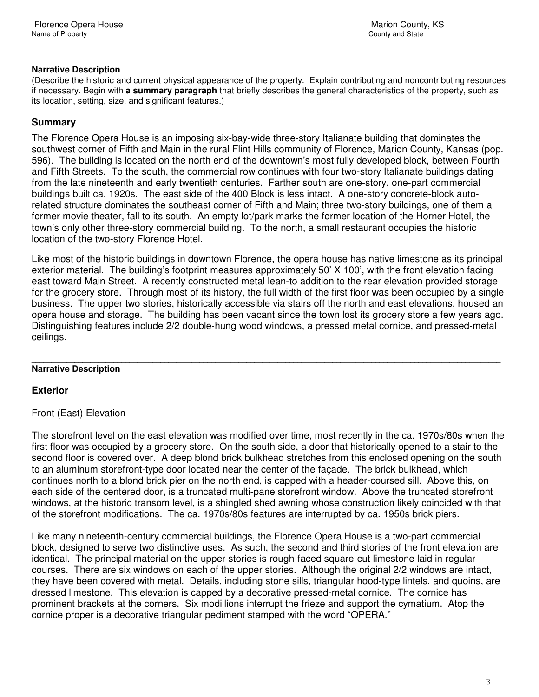#### **Narrative Description**

(Describe the historic and current physical appearance of the property. Explain contributing and noncontributing resources if necessary. Begin with **a summary paragraph** that briefly describes the general characteristics of the property, such as its location, setting, size, and significant features.)

# **Summary**

The Florence Opera House is an imposing six-bay-wide three-story Italianate building that dominates the southwest corner of Fifth and Main in the rural Flint Hills community of Florence, Marion County, Kansas (pop. 596). The building is located on the north end of the downtown's most fully developed block, between Fourth and Fifth Streets. To the south, the commercial row continues with four two-story Italianate buildings dating from the late nineteenth and early twentieth centuries. Farther south are one-story, one-part commercial buildings built ca. 1920s. The east side of the 400 Block is less intact. A one-story concrete-block autorelated structure dominates the southeast corner of Fifth and Main; three two-story buildings, one of them a former movie theater, fall to its south. An empty lot/park marks the former location of the Horner Hotel, the town's only other three-story commercial building. To the north, a small restaurant occupies the historic location of the two-story Florence Hotel.

Like most of the historic buildings in downtown Florence, the opera house has native limestone as its principal exterior material. The building's footprint measures approximately 50' X 100', with the front elevation facing east toward Main Street. A recently constructed metal lean-to addition to the rear elevation provided storage for the grocery store. Through most of its history, the full width of the first floor was been occupied by a single business. The upper two stories, historically accessible via stairs off the north and east elevations, housed an opera house and storage. The building has been vacant since the town lost its grocery store a few years ago. Distinguishing features include 2/2 double-hung wood windows, a pressed metal cornice, and pressed-metal ceilings.

#### \_\_\_\_\_\_\_\_\_\_\_\_\_\_\_\_\_\_\_\_\_\_\_\_\_\_\_\_\_\_\_\_\_\_\_\_\_\_\_\_\_\_\_\_\_\_\_\_\_\_\_\_\_\_\_\_\_\_\_\_\_\_\_\_\_\_\_\_\_\_\_\_\_\_\_\_\_\_\_\_\_\_\_\_\_\_\_\_\_\_\_\_\_\_\_\_\_\_\_\_\_\_\_\_\_\_\_\_\_\_\_\_\_\_\_\_\_\_\_\_ **Narrative Description**

# **Exterior**

# Front (East) Elevation

The storefront level on the east elevation was modified over time, most recently in the ca. 1970s/80s when the first floor was occupied by a grocery store. On the south side, a door that historically opened to a stair to the second floor is covered over. A deep blond brick bulkhead stretches from this enclosed opening on the south to an aluminum storefront-type door located near the center of the façade. The brick bulkhead, which continues north to a blond brick pier on the north end, is capped with a header-coursed sill. Above this, on each side of the centered door, is a truncated multi-pane storefront window. Above the truncated storefront windows, at the historic transom level, is a shingled shed awning whose construction likely coincided with that of the storefront modifications. The ca. 1970s/80s features are interrupted by ca. 1950s brick piers.

Like many nineteenth-century commercial buildings, the Florence Opera House is a two-part commercial block, designed to serve two distinctive uses. As such, the second and third stories of the front elevation are identical. The principal material on the upper stories is rough-faced square-cut limestone laid in regular courses. There are six windows on each of the upper stories. Although the original 2/2 windows are intact, they have been covered with metal. Details, including stone sills, triangular hood-type lintels, and quoins, are dressed limestone. This elevation is capped by a decorative pressed-metal cornice. The cornice has prominent brackets at the corners. Six modillions interrupt the frieze and support the cymatium. Atop the cornice proper is a decorative triangular pediment stamped with the word "OPERA."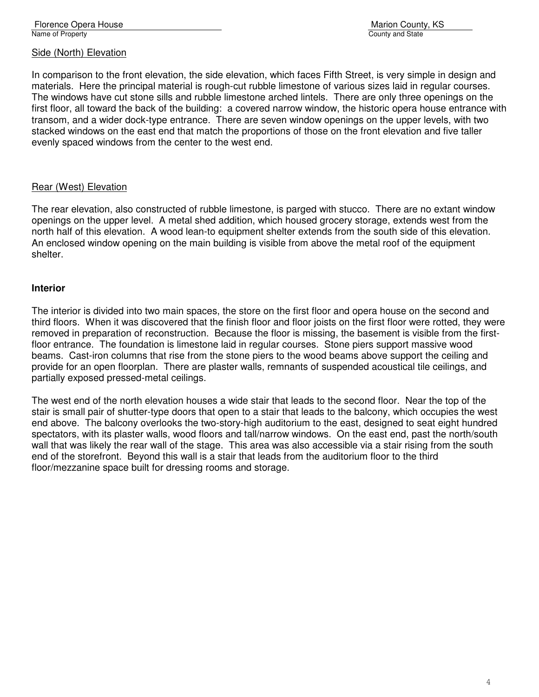#### Side (North) Elevation

In comparison to the front elevation, the side elevation, which faces Fifth Street, is very simple in design and materials. Here the principal material is rough-cut rubble limestone of various sizes laid in regular courses. The windows have cut stone sills and rubble limestone arched lintels. There are only three openings on the first floor, all toward the back of the building: a covered narrow window, the historic opera house entrance with transom, and a wider dock-type entrance. There are seven window openings on the upper levels, with two stacked windows on the east end that match the proportions of those on the front elevation and five taller evenly spaced windows from the center to the west end.

#### Rear (West) Elevation

The rear elevation, also constructed of rubble limestone, is parged with stucco. There are no extant window openings on the upper level. A metal shed addition, which housed grocery storage, extends west from the north half of this elevation. A wood lean-to equipment shelter extends from the south side of this elevation. An enclosed window opening on the main building is visible from above the metal roof of the equipment shelter.

#### **Interior**

The interior is divided into two main spaces, the store on the first floor and opera house on the second and third floors. When it was discovered that the finish floor and floor joists on the first floor were rotted, they were removed in preparation of reconstruction. Because the floor is missing, the basement is visible from the firstfloor entrance. The foundation is limestone laid in regular courses. Stone piers support massive wood beams. Cast-iron columns that rise from the stone piers to the wood beams above support the ceiling and provide for an open floorplan. There are plaster walls, remnants of suspended acoustical tile ceilings, and partially exposed pressed-metal ceilings.

The west end of the north elevation houses a wide stair that leads to the second floor. Near the top of the stair is small pair of shutter-type doors that open to a stair that leads to the balcony, which occupies the west end above. The balcony overlooks the two-story-high auditorium to the east, designed to seat eight hundred spectators, with its plaster walls, wood floors and tall/narrow windows. On the east end, past the north/south wall that was likely the rear wall of the stage. This area was also accessible via a stair rising from the south end of the storefront. Beyond this wall is a stair that leads from the auditorium floor to the third floor/mezzanine space built for dressing rooms and storage.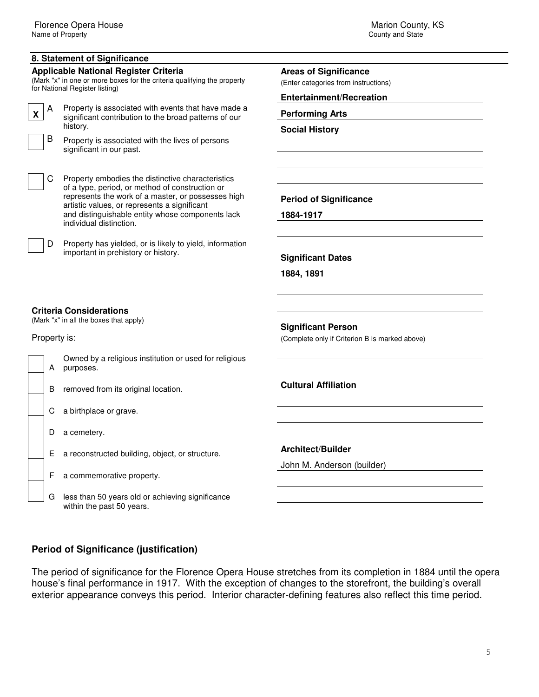Name of Property

#### **8. Statement of Significance**

#### **Applicable National Register Criteria**

(Mark "x" in one or more boxes for the criteria qualifying the property for National Register listing)  $\mathsf{A}$ 

Property is associated with events that have made a significant contribution to the broad patterns of our history.



| C. | Property embodies the distinctive characteristics  |
|----|----------------------------------------------------|
|    | of a type, period, or method of construction or    |
|    | represents the work of a master, or possesses high |
|    | artistic values, or represents a significant       |
|    | and distinguishable entity whose components lack   |
|    | individual distinction.                            |

D Property has yielded, or is likely to yield, information important in prehistory or history.

**Period of Significance** 

**Areas of Significance**  (Enter categories from instructions) **Entertainment/Recreation** 

**Performing Arts Social History** 

**1884-1917** 

**Significant Dates** 

**1884, 1891** 

#### **Criteria Considerations**

(Mark "x" in all the boxes that apply)

Property is:

|  | Owned by a religious institution or used for religious<br>A purposes. |
|--|-----------------------------------------------------------------------|
|  |                                                                       |

B removed from its original location.

C a birthplace or grave.

- D a cemetery.
- E a reconstructed building, object, or structure.

F a commemorative property.

G less than 50 years old or achieving significance within the past 50 years.

**Cultural Affiliation** 

**Significant Person** 

(Complete only if Criterion B is marked above)

**Architect/Builder** 

John M. Anderson (builder)

# **Period of Significance (justification)**

The period of significance for the Florence Opera House stretches from its completion in 1884 until the opera house's final performance in 1917. With the exception of changes to the storefront, the building's overall exterior appearance conveys this period. Interior character-defining features also reflect this time period.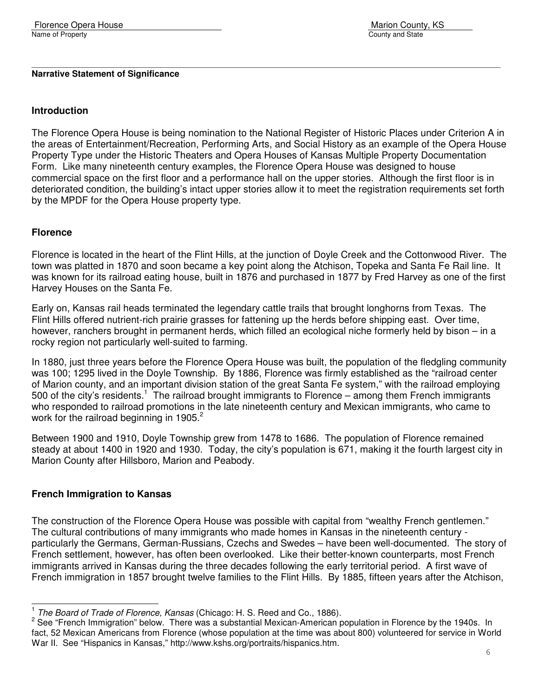#### **Narrative Statement of Significance**

#### **Introduction**

The Florence Opera House is being nomination to the National Register of Historic Places under Criterion A in the areas of Entertainment/Recreation, Performing Arts, and Social History as an example of the Opera House Property Type under the Historic Theaters and Opera Houses of Kansas Multiple Property Documentation Form. Like many nineteenth century examples, the Florence Opera House was designed to house commercial space on the first floor and a performance hall on the upper stories. Although the first floor is in deteriorated condition, the building's intact upper stories allow it to meet the registration requirements set forth by the MPDF for the Opera House property type.

\_\_\_\_\_\_\_\_\_\_\_\_\_\_\_\_\_\_\_\_\_\_\_\_\_\_\_\_\_\_\_\_\_\_\_\_\_\_\_\_\_\_\_\_\_\_\_\_\_\_\_\_\_\_\_\_\_\_\_\_\_\_\_\_\_\_\_\_\_\_\_\_\_\_\_\_\_\_\_\_\_\_\_\_\_\_\_\_\_\_\_\_\_\_\_\_\_\_\_\_\_\_\_\_\_\_\_\_\_\_\_\_\_\_\_\_\_\_\_\_

#### **Florence**

Florence is located in the heart of the Flint Hills, at the junction of Doyle Creek and the Cottonwood River. The town was platted in 1870 and soon became a key point along the Atchison, Topeka and Santa Fe Rail line. It was known for its railroad eating house, built in 1876 and purchased in 1877 by Fred Harvey as one of the first Harvey Houses on the Santa Fe.

Early on, Kansas rail heads terminated the legendary cattle trails that brought longhorns from Texas. The Flint Hills offered nutrient-rich prairie grasses for fattening up the herds before shipping east. Over time, however, ranchers brought in permanent herds, which filled an ecological niche formerly held by bison – in a rocky region not particularly well-suited to farming.

In 1880, just three years before the Florence Opera House was built, the population of the fledgling community was 100; 1295 lived in the Doyle Township. By 1886, Florence was firmly established as the "railroad center of Marion county, and an important division station of the great Santa Fe system," with the railroad employing 500 of the city's residents.<sup>1</sup> The railroad brought immigrants to Florence – among them French immigrants who responded to railroad promotions in the late nineteenth century and Mexican immigrants, who came to work for the railroad beginning in 1905. $2^2$ 

Between 1900 and 1910, Doyle Township grew from 1478 to 1686. The population of Florence remained steady at about 1400 in 1920 and 1930. Today, the city's population is 671, making it the fourth largest city in Marion County after Hillsboro, Marion and Peabody.

#### **French Immigration to Kansas**

L

The construction of the Florence Opera House was possible with capital from "wealthy French gentlemen." The cultural contributions of many immigrants who made homes in Kansas in the nineteenth century particularly the Germans, German-Russians, Czechs and Swedes – have been well-documented. The story of French settlement, however, has often been overlooked. Like their better-known counterparts, most French immigrants arrived in Kansas during the three decades following the early territorial period. A first wave of French immigration in 1857 brought twelve families to the Flint Hills. By 1885, fifteen years after the Atchison,

<sup>1</sup> The Board of Trade of Florence, Kansas (Chicago: H. S. Reed and Co., 1886).

<sup>&</sup>lt;sup>2</sup> See "French Immigration" below. There was a substantial Mexican-American population in Florence by the 1940s. In fact, 52 Mexican Americans from Florence (whose population at the time was about 800) volunteered for service in World War II. See "Hispanics in Kansas," http://www.kshs.org/portraits/hispanics.htm.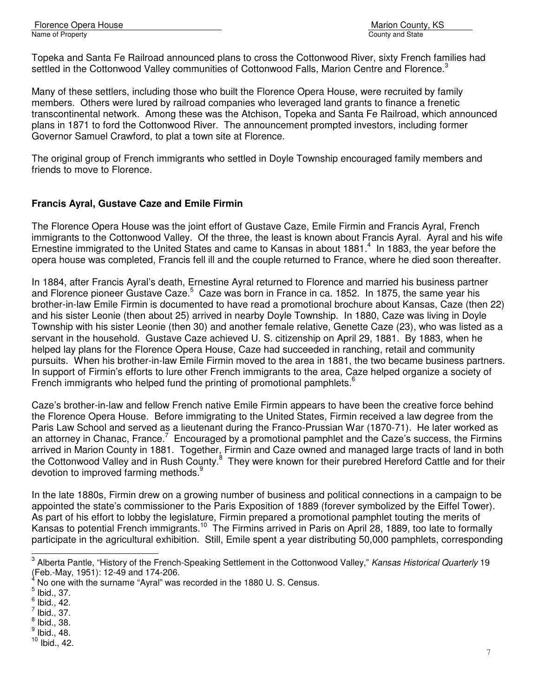Topeka and Santa Fe Railroad announced plans to cross the Cottonwood River, sixty French families had settled in the Cottonwood Valley communities of Cottonwood Falls, Marion Centre and Florence.<sup>3</sup>

Many of these settlers, including those who built the Florence Opera House, were recruited by family members. Others were lured by railroad companies who leveraged land grants to finance a frenetic transcontinental network. Among these was the Atchison, Topeka and Santa Fe Railroad, which announced plans in 1871 to ford the Cottonwood River. The announcement prompted investors, including former Governor Samuel Crawford, to plat a town site at Florence.

The original group of French immigrants who settled in Doyle Township encouraged family members and friends to move to Florence.

# **Francis Ayral, Gustave Caze and Emile Firmin**

The Florence Opera House was the joint effort of Gustave Caze, Emile Firmin and Francis Ayral, French immigrants to the Cottonwood Valley. Of the three, the least is known about Francis Ayral. Ayral and his wife Ernestine immigrated to the United States and came to Kansas in about 1881.<sup>4</sup> In 1883, the year before the opera house was completed, Francis fell ill and the couple returned to France, where he died soon thereafter.

In 1884, after Francis Ayral's death, Ernestine Ayral returned to Florence and married his business partner and Florence pioneer Gustave Caze.<sup>5</sup> Caze was born in France in ca. 1852. In 1875, the same year his brother-in-law Emile Firmin is documented to have read a promotional brochure about Kansas, Caze (then 22) and his sister Leonie (then about 25) arrived in nearby Doyle Township. In 1880, Caze was living in Doyle Township with his sister Leonie (then 30) and another female relative, Genette Caze (23), who was listed as a servant in the household. Gustave Caze achieved U. S. citizenship on April 29, 1881. By 1883, when he helped lay plans for the Florence Opera House, Caze had succeeded in ranching, retail and community pursuits. When his brother-in-law Emile Firmin moved to the area in 1881, the two became business partners. In support of Firmin's efforts to lure other French immigrants to the area, Caze helped organize a society of French immigrants who helped fund the printing of promotional pamphlets. $<sup>6</sup>$ </sup>

Caze's brother-in-law and fellow French native Emile Firmin appears to have been the creative force behind the Florence Opera House. Before immigrating to the United States, Firmin received a law degree from the Paris Law School and served as a lieutenant during the Franco-Prussian War (1870-71). He later worked as an attorney in Chanac, France.<sup>7</sup> Encouraged by a promotional pamphlet and the Caze's success, the Firmins arrived in Marion County in 1881. Together, Firmin and Caze owned and managed large tracts of land in both the Cottonwood Valley and in Rush County.<sup>8</sup> They were known for their purebred Hereford Cattle and for their devotion to improved farming methods.<sup>9</sup>

In the late 1880s, Firmin drew on a growing number of business and political connections in a campaign to be appointed the state's commissioner to the Paris Exposition of 1889 (forever symbolized by the Eiffel Tower). As part of his effort to lobby the legislature, Firmin prepared a promotional pamphlet touting the merits of Kansas to potential French immigrants.<sup>10</sup> The Firmins arrived in Paris on April 28, 1889, too late to formally participate in the agricultural exhibition. Still, Emile spent a year distributing 50,000 pamphlets, corresponding

L

<sup>&</sup>lt;sup>3</sup> Alberta Pantle, "History of the French-Speaking Settlement in the Cottonwood Valley," Kansas Historical Quarterly 19 (Feb.-May, 1951): 12-49 and 174-206.

<sup>4</sup> No one with the surname "Ayral" was recorded in the 1880 U. S. Census.

 $<sup>5</sup>$  Ibid., 37.</sup>

 $<sup>6</sup>$  Ibid., 42.</sup>

 $\frac{7}{1}$  lbid., 37.

 $<sup>8</sup>$  Ibid., 38.</sup>

 $<sup>9</sup>$  Ibid., 48.</sup>

 $10$  Ibid., 42.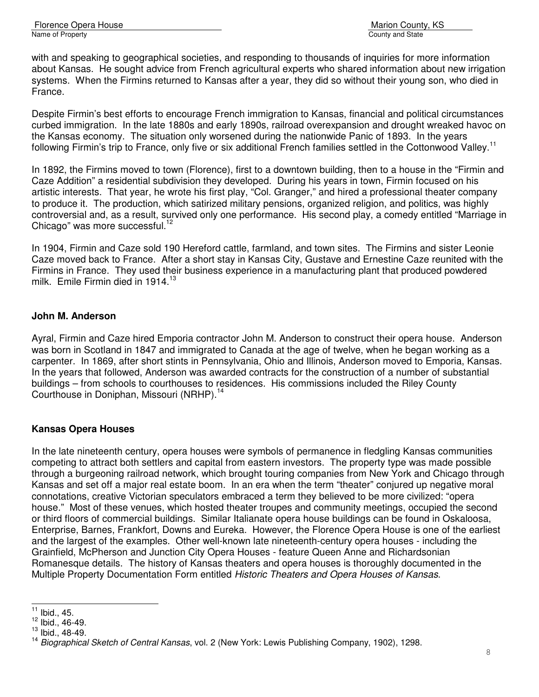Florence Opera House Marion County, KS Name of Property County and State County and State County and State County and State County and State County and State County and State County and State County and State County and State County and State County and State C

with and speaking to geographical societies, and responding to thousands of inquiries for more information about Kansas. He sought advice from French agricultural experts who shared information about new irrigation systems. When the Firmins returned to Kansas after a year, they did so without their young son, who died in France.

Despite Firmin's best efforts to encourage French immigration to Kansas, financial and political circumstances curbed immigration. In the late 1880s and early 1890s, railroad overexpansion and drought wreaked havoc on the Kansas economy. The situation only worsened during the nationwide Panic of 1893. In the years following Firmin's trip to France, only five or six additional French families settled in the Cottonwood Valley.<sup>11</sup>

In 1892, the Firmins moved to town (Florence), first to a downtown building, then to a house in the "Firmin and Caze Addition" a residential subdivision they developed. During his years in town, Firmin focused on his artistic interests. That year, he wrote his first play, "Col. Granger," and hired a professional theater company to produce it. The production, which satirized military pensions, organized religion, and politics, was highly controversial and, as a result, survived only one performance. His second play, a comedy entitled "Marriage in Chicago" was more successful. $12$ 

In 1904, Firmin and Caze sold 190 Hereford cattle, farmland, and town sites. The Firmins and sister Leonie Caze moved back to France. After a short stay in Kansas City, Gustave and Ernestine Caze reunited with the Firmins in France. They used their business experience in a manufacturing plant that produced powdered milk. Emile Firmin died in 1914. $13$ 

# **John M. Anderson**

Ayral, Firmin and Caze hired Emporia contractor John M. Anderson to construct their opera house. Anderson was born in Scotland in 1847 and immigrated to Canada at the age of twelve, when he began working as a carpenter. In 1869, after short stints in Pennsylvania, Ohio and Illinois, Anderson moved to Emporia, Kansas. In the years that followed, Anderson was awarded contracts for the construction of a number of substantial buildings – from schools to courthouses to residences. His commissions included the Riley County Courthouse in Doniphan, Missouri (NRHP).<sup>14</sup>

# **Kansas Opera Houses**

In the late nineteenth century, opera houses were symbols of permanence in fledgling Kansas communities competing to attract both settlers and capital from eastern investors. The property type was made possible through a burgeoning railroad network, which brought touring companies from New York and Chicago through Kansas and set off a major real estate boom. In an era when the term "theater" conjured up negative moral connotations, creative Victorian speculators embraced a term they believed to be more civilized: "opera house." Most of these venues, which hosted theater troupes and community meetings, occupied the second or third floors of commercial buildings. Similar Italianate opera house buildings can be found in Oskaloosa, Enterprise, Barnes, Frankfort, Downs and Eureka. However, the Florence Opera House is one of the earliest and the largest of the examples. Other well-known late nineteenth-century opera houses - including the Grainfield, McPherson and Junction City Opera Houses - feature Queen Anne and Richardsonian Romanesque details. The history of Kansas theaters and opera houses is thoroughly documented in the Multiple Property Documentation Form entitled Historic Theaters and Opera Houses of Kansas.

L

 $11$  Ibid., 45.

 $12$  Ibid., 46-49.

 $13$  Ibid., 48-49.

<sup>&</sup>lt;sup>14</sup> Biographical Sketch of Central Kansas, vol. 2 (New York: Lewis Publishing Company, 1902), 1298.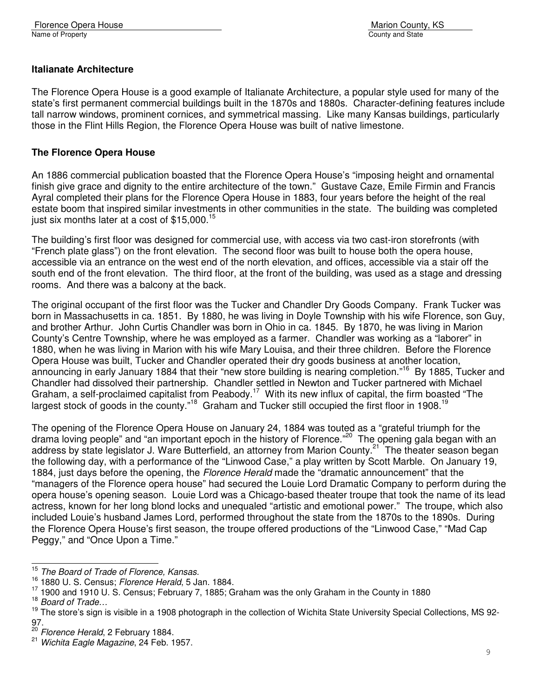# **Italianate Architecture**

The Florence Opera House is a good example of Italianate Architecture, a popular style used for many of the state's first permanent commercial buildings built in the 1870s and 1880s. Character-defining features include tall narrow windows, prominent cornices, and symmetrical massing. Like many Kansas buildings, particularly those in the Flint Hills Region, the Florence Opera House was built of native limestone.

#### **The Florence Opera House**

An 1886 commercial publication boasted that the Florence Opera House's "imposing height and ornamental finish give grace and dignity to the entire architecture of the town." Gustave Caze, Emile Firmin and Francis Ayral completed their plans for the Florence Opera House in 1883, four years before the height of the real estate boom that inspired similar investments in other communities in the state. The building was completed just six months later at a cost of \$15,000.<sup>15</sup>

The building's first floor was designed for commercial use, with access via two cast-iron storefronts (with "French plate glass") on the front elevation. The second floor was built to house both the opera house, accessible via an entrance on the west end of the north elevation, and offices, accessible via a stair off the south end of the front elevation. The third floor, at the front of the building, was used as a stage and dressing rooms. And there was a balcony at the back.

The original occupant of the first floor was the Tucker and Chandler Dry Goods Company. Frank Tucker was born in Massachusetts in ca. 1851. By 1880, he was living in Doyle Township with his wife Florence, son Guy, and brother Arthur. John Curtis Chandler was born in Ohio in ca. 1845. By 1870, he was living in Marion County's Centre Township, where he was employed as a farmer. Chandler was working as a "laborer" in 1880, when he was living in Marion with his wife Mary Louisa, and their three children. Before the Florence Opera House was built, Tucker and Chandler operated their dry goods business at another location, announcing in early January 1884 that their "new store building is nearing completion."<sup>16</sup> By 1885, Tucker and Chandler had dissolved their partnership. Chandler settled in Newton and Tucker partnered with Michael Graham, a self-proclaimed capitalist from Peabody.<sup>17</sup> With its new influx of capital, the firm boasted "The largest stock of goods in the county."<sup>18</sup> Graham and Tucker still occupied the first floor in 1908.<sup>1</sup>

The opening of the Florence Opera House on January 24, 1884 was touted as a "grateful triumph for the drama loving people" and "an important epoch in the history of Florence."<sup>20</sup> The opening gala began with an address by state legislator J. Ware Butterfield, an attorney from Marion County.<sup>21</sup> The theater season began the following day, with a performance of the "Linwood Case," a play written by Scott Marble. On January 19, 1884, just days before the opening, the *Florence Herald* made the "dramatic announcement" that the "managers of the Florence opera house" had secured the Louie Lord Dramatic Company to perform during the opera house's opening season. Louie Lord was a Chicago-based theater troupe that took the name of its lead actress, known for her long blond locks and unequaled "artistic and emotional power." The troupe, which also included Louie's husband James Lord, performed throughout the state from the 1870s to the 1890s. During the Florence Opera House's first season, the troupe offered productions of the "Linwood Case," "Mad Cap Peggy," and "Once Upon a Time."

j.

<sup>&</sup>lt;sup>15</sup> The Board of Trade of Florence, Kansas.

<sup>16</sup> 1880 U. S. Census; Florence Herald, 5 Jan. 1884.

<sup>&</sup>lt;sup>17</sup> 1900 and 1910 U. S. Census; February 7, 1885; Graham was the only Graham in the County in 1880

<sup>&</sup>lt;sup>18</sup> Board of Trade...

<sup>&</sup>lt;sup>19</sup> The store's sign is visible in a 1908 photograph in the collection of Wichita State University Special Collections, MS 92-97.

 $^{20}$  Florence Herald, 2 February 1884.

 $21$  Wichita Eagle Magazine, 24 Feb. 1957.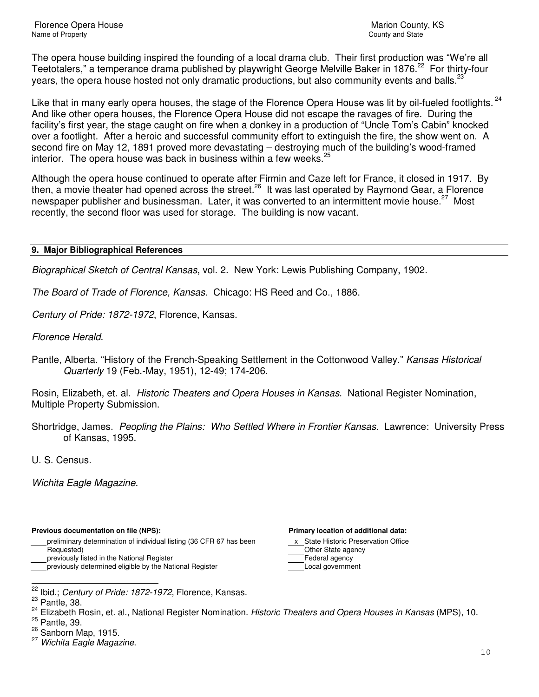The opera house building inspired the founding of a local drama club. Their first production was "We're all Teetotalers," a temperance drama published by playwright George Melville Baker in 1876.<sup>22</sup> For thirty-four years, the opera house hosted not only dramatic productions, but also community events and balls.<sup>2</sup>

Like that in many early opera houses, the stage of the Florence Opera House was lit by oil-fueled footlights.<sup>24</sup> And like other opera houses, the Florence Opera House did not escape the ravages of fire. During the facility's first year, the stage caught on fire when a donkey in a production of "Uncle Tom's Cabin" knocked over a footlight. After a heroic and successful community effort to extinguish the fire, the show went on. A second fire on May 12, 1891 proved more devastating – destroying much of the building's wood-framed interior. The opera house was back in business within a few weeks.<sup>25</sup>

Although the opera house continued to operate after Firmin and Caze left for France, it closed in 1917. By then, a movie theater had opened across the street.<sup>26</sup> It was last operated by Raymond Gear, a Florence newspaper publisher and businessman. Later, it was converted to an intermittent movie house.<sup>27</sup> Most recently, the second floor was used for storage. The building is now vacant.

#### **9. Major Bibliographical References**

Biographical Sketch of Central Kansas, vol. 2. New York: Lewis Publishing Company, 1902.

The Board of Trade of Florence, Kansas. Chicago: HS Reed and Co., 1886.

Century of Pride: 1872-1972, Florence, Kansas.

Florence Herald.

Pantle, Alberta. "History of the French-Speaking Settlement in the Cottonwood Valley." Kansas Historical Quarterly 19 (Feb.-May, 1951), 12-49; 174-206.

Rosin, Elizabeth, et. al. Historic Theaters and Opera Houses in Kansas. National Register Nomination, Multiple Property Submission.

Shortridge, James. Peopling the Plains: Who Settled Where in Frontier Kansas. Lawrence: University Press of Kansas, 1995.

U. S. Census.

Wichita Eagle Magazine.

#### **Previous documentation on file (NPS): Primary location of additional data:**

preliminary determination of individual listing (36 CFR 67 has been x State Historic Preservation Office Requested)<br>
previously listed in the National Register<br>
Deprime and Department of the Collection of Tederal agency

previously listed in the National Register

previously determined eligible by the National Register **Local government** 

- 
- 

L

- 
- <sup>26</sup> Sanborn Map, 1915.

 $\frac{22}{1}$  Ibid.; Century of Pride: 1872-1972, Florence, Kansas.

 $23$  Pantle, 38.

<sup>&</sup>lt;sup>24</sup> Elizabeth Rosin, et. al., National Register Nomination. Historic Theaters and Opera Houses in Kansas (MPS), 10. <sup>25</sup> Pantle, 39.

<sup>&</sup>lt;sup>27</sup> Wichita Eagle Magazine.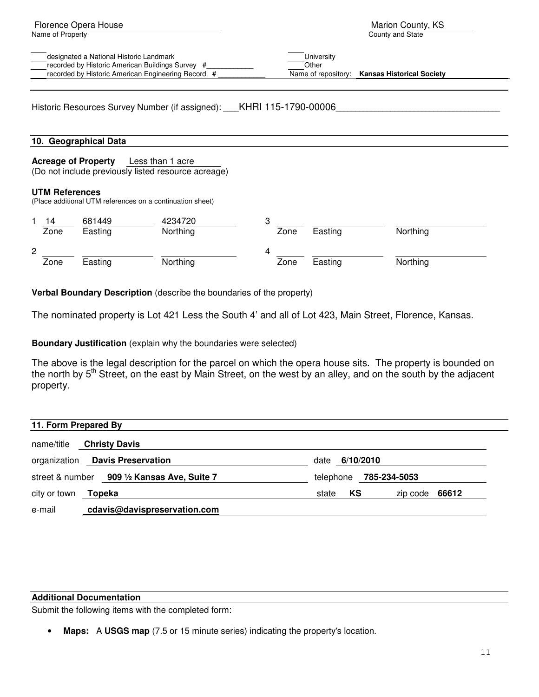| Florence Opera House                               | Marion County, KS                             |
|----------------------------------------------------|-----------------------------------------------|
| Name of Property                                   | County and State                              |
|                                                    |                                               |
| designated a National Historic Landmark            | University                                    |
| recorded by Historic American Buildings Survey #   | Other                                         |
| recorded by Historic American Engineering Record # | Name of repository: Kansas Historical Society |

Historic Resources Survey Number (if assigned): \_\_\_\_KHRI 115-1790-00006

#### **10. Geographical Data**

#### **Acreage of Property** Less than 1 acre

(Do not include previously listed resource acreage)

#### **UTM References**

(Place additional UTM references on a continuation sheet)

|   | 14<br>Zone | 681449<br>Easting | 4234720<br>Northing |   | Zone | Easting | Northing |
|---|------------|-------------------|---------------------|---|------|---------|----------|
| 2 | Zone       | Easting           | Northing            | 4 | Zone | Easting | Northing |

**Verbal Boundary Description** (describe the boundaries of the property)

The nominated property is Lot 421 Less the South 4' and all of Lot 423, Main Street, Florence, Kansas.

**Boundary Justification** (explain why the boundaries were selected)

The above is the legal description for the parcel on which the opera house sits. The property is bounded on the north by 5<sup>th</sup> Street, on the east by Main Street, on the west by an alley, and on the south by the adjacent property.

| 11. Form Prepared By                           |                                 |
|------------------------------------------------|---------------------------------|
| <b>Christy Davis</b><br>name/title             |                                 |
| <b>Davis Preservation</b><br>organization      | 6/10/2010<br>date               |
| 909 1/2 Kansas Ave, Suite 7<br>street & number | 785-234-5053<br>telephone       |
| city or town <b>Topeka</b>                     | KS<br>zip code $66612$<br>state |
| cdavis@davispreservation.com<br>e-mail         |                                 |

#### **Additional Documentation**

Submit the following items with the completed form:

• **Maps:** A **USGS map** (7.5 or 15 minute series) indicating the property's location.